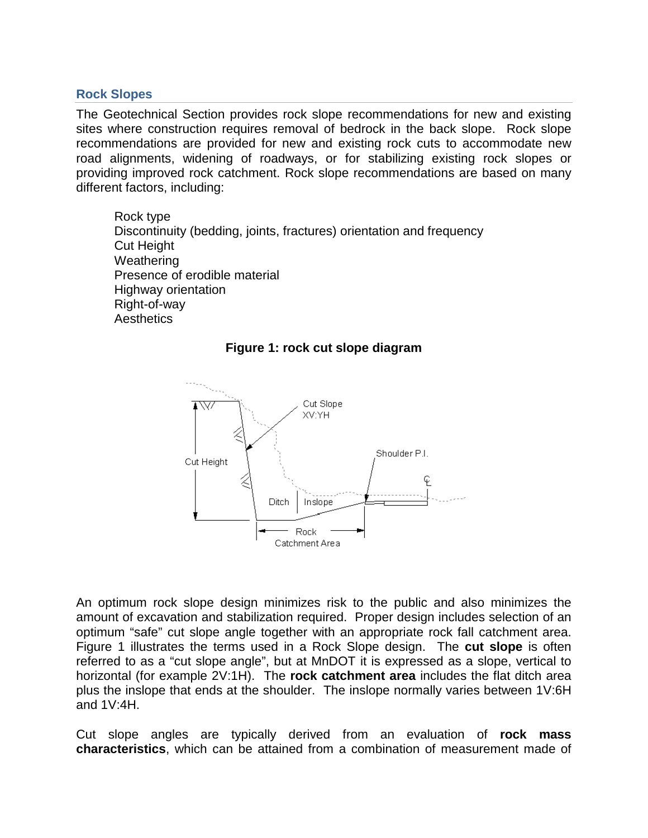## **Rock Slopes**

The Geotechnical Section provides rock slope recommendations for new and existing sites where construction requires removal of bedrock in the back slope. Rock slope recommendations are provided for new and existing rock cuts to accommodate new road alignments, widening of roadways, or for stabilizing existing rock slopes or providing improved rock catchment. Rock slope recommendations are based on many different factors, including:

Rock type Discontinuity (bedding, joints, fractures) orientation and frequency Cut Height Weathering Presence of erodible material Highway orientation Right-of-way **Aesthetics** 



**Figure 1: rock cut slope diagram**

An optimum rock slope design minimizes risk to the public and also minimizes the amount of excavation and stabilization required. Proper design includes selection of an optimum "safe" cut slope angle together with an appropriate rock fall catchment area. Figure 1 illustrates the terms used in a Rock Slope design. The **cut slope** is often referred to as a "cut slope angle", but at MnDOT it is expressed as a slope, vertical to horizontal (for example 2V:1H). The **rock catchment area** includes the flat ditch area plus the inslope that ends at the shoulder. The inslope normally varies between 1V:6H and 1V:4H.

Cut slope angles are typically derived from an evaluation of **rock mass characteristics**, which can be attained from a combination of measurement made of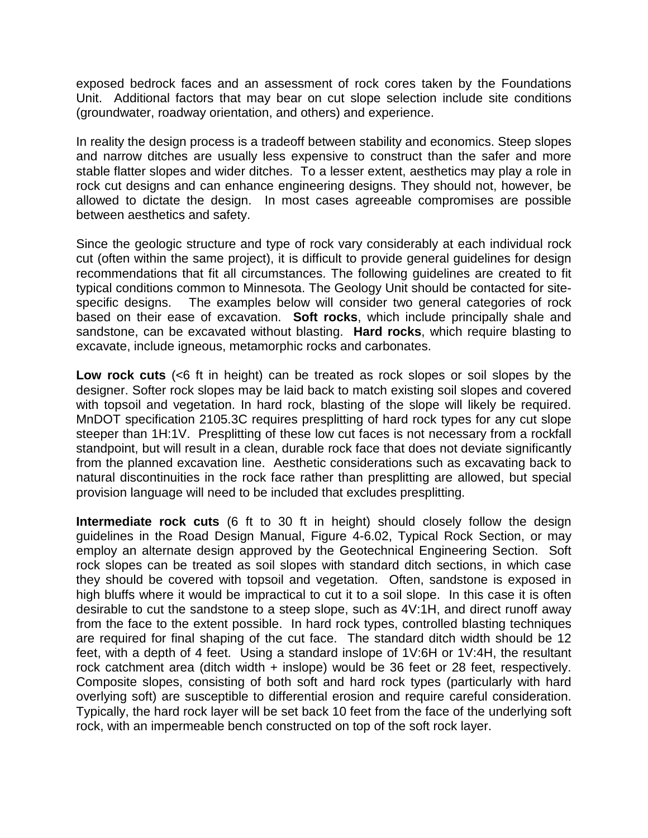exposed bedrock faces and an assessment of rock cores taken by the Foundations Unit. Additional factors that may bear on cut slope selection include site conditions (groundwater, roadway orientation, and others) and experience.

In reality the design process is a tradeoff between stability and economics. Steep slopes and narrow ditches are usually less expensive to construct than the safer and more stable flatter slopes and wider ditches. To a lesser extent, aesthetics may play a role in rock cut designs and can enhance engineering designs. They should not, however, be allowed to dictate the design. In most cases agreeable compromises are possible between aesthetics and safety.

Since the geologic structure and type of rock vary considerably at each individual rock cut (often within the same project), it is difficult to provide general guidelines for design recommendations that fit all circumstances. The following guidelines are created to fit typical conditions common to Minnesota. The Geology Unit should be contacted for sitespecific designs. The examples below will consider two general categories of rock based on their ease of excavation. **Soft rocks**, which include principally shale and sandstone, can be excavated without blasting. **Hard rocks**, which require blasting to excavate, include igneous, metamorphic rocks and carbonates.

**Low rock cuts** (<6 ft in height) can be treated as rock slopes or soil slopes by the designer. Softer rock slopes may be laid back to match existing soil slopes and covered with topsoil and vegetation. In hard rock, blasting of the slope will likely be required. MnDOT specification 2105.3C requires presplitting of hard rock types for any cut slope steeper than 1H:1V. Presplitting of these low cut faces is not necessary from a rockfall standpoint, but will result in a clean, durable rock face that does not deviate significantly from the planned excavation line. Aesthetic considerations such as excavating back to natural discontinuities in the rock face rather than presplitting are allowed, but special provision language will need to be included that excludes presplitting.

**Intermediate rock cuts** (6 ft to 30 ft in height) should closely follow the design guidelines in the Road Design Manual, Figure 4-6.02, Typical Rock Section, or may employ an alternate design approved by the Geotechnical Engineering Section. Soft rock slopes can be treated as soil slopes with standard ditch sections, in which case they should be covered with topsoil and vegetation. Often, sandstone is exposed in high bluffs where it would be impractical to cut it to a soil slope. In this case it is often desirable to cut the sandstone to a steep slope, such as 4V:1H, and direct runoff away from the face to the extent possible. In hard rock types, controlled blasting techniques are required for final shaping of the cut face. The standard ditch width should be 12 feet, with a depth of 4 feet. Using a standard inslope of 1V:6H or 1V:4H, the resultant rock catchment area (ditch width + inslope) would be 36 feet or 28 feet, respectively. Composite slopes, consisting of both soft and hard rock types (particularly with hard overlying soft) are susceptible to differential erosion and require careful consideration. Typically, the hard rock layer will be set back 10 feet from the face of the underlying soft rock, with an impermeable bench constructed on top of the soft rock layer.